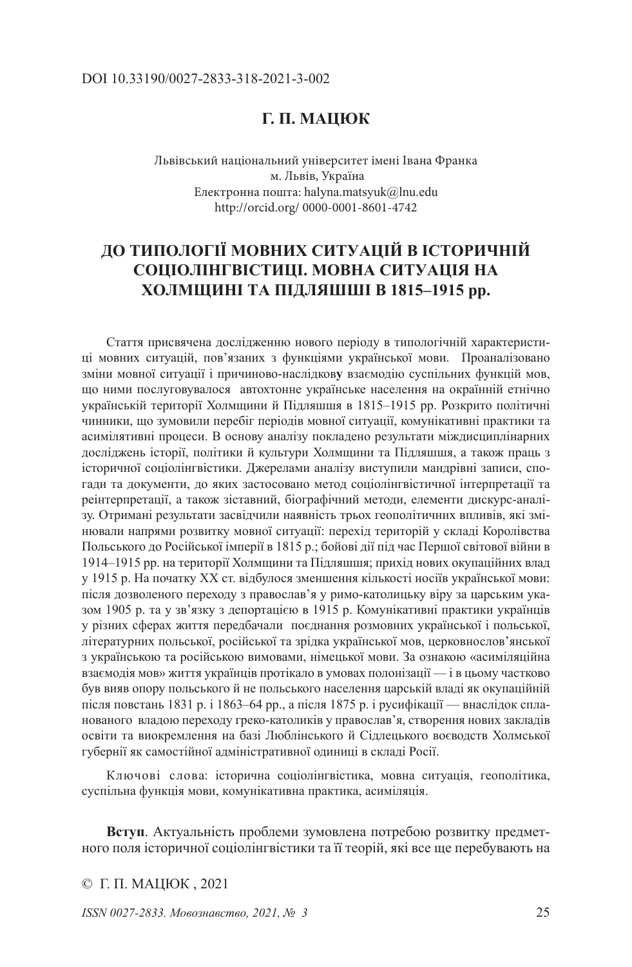### DOI 10.33190/0027-2833-318-2021-3-002

## **Г. П. МАЦЮК**

Львівський національний університет імені Івана Франка м. Львів, Україна Електронна пошта: halyna.matsyuk@lnu.edu http://orcid.org/ 0000-0001-8601-4742

# **ДО ТИПОЛОГІЇ МОВНИХ СИТУАЦІЙ В ІСТОРИЧНІЙ СОЦІОЛІНГВІСТИЦІ. МОВНА СИТУАЦІЯ НА ХОЛМЩИНІ ТА ПІДЛЯШШІ В 1815–1915 рр.**

Стаття присвячена дослідженню нового періоду в типологічній характеристиці мовних ситуацій, пов'язаних з функціями української мови. Проаналізовано зміни мовної ситуації і причиново-наслідков**у** взаємодію суспільних функцій мов, що ними послуговувалося автохтонне українське населення на окраїнній етнічно українській території Холмщини й Підляшшя в 1815–1915 рр. Розкрито політичні чинники, що зумовили перебіг періодів мовної ситуації, комунікативні практики та асимілятивні процеси. В основу аналізу покладено результати міждисциплінарних досліджень історії, політики й культури Холмщини та Підляшшя, а також праць з історичної соціолінгвістики. Джерелами аналізу виступили мандрівні записи, спогади та документи, до яких застосовано метод соціолінгвістичної інтерпретації та реінтерпретації, а також зіставний, біографічний методи, елементи дискурс-аналізу. Отримані результати засвідчили наявність трьох геополітичних впливів, які змінювали напрями розвитку мовної ситуації: перехід територій у складі Королівства Польського до Російської імперії в 1815 р.; бойові дії під час Першої світової війни в 1914–1915 рр. на території Холмщини та Підляшшя; прихід нових окупаційних влад у 1915 р. На початку XX ст. відбулося зменшення кількості носіїв української мови: після дозволеного переходу з православ'я у римо-католицьку віру за царським указом 1905 р. та у зв'язку з депортацією в 1915 р. Комунікативні практики українців у різних сферах життя передбачали поєднання розмовних української і польської, літературних польської, російської та зрідка української мов, церковнослов'янської з українською та російською вимовами, німецької мови. За ознакою «асиміляційна взаємодія мов» життя українців протікало в умовах полонізації — і в цьому частково був вияв опору польського й не польського населення царській владі як окупаційній після повстань 1831 р. і 1863–64 рр., а після 1875 р. і русифікації — внаслідок спланованого владою переходу греко-католиків у православ'я, створення нових закладів освіти та виокремлення на базі Люблінського й Сідлецького воєводств Холмської губернії як самостійної адміністративної одиниці в складі Росії.

Ключові слова: історична соціолінгвістика, мовна ситуація, геополітика, суспільна функція мови, комунікативна практика, асиміляція.

**Вступ**. Актуальність проблеми зумовлена потребою розвитку предметного поля історичної соціолінгвістики та її теорій, які все ще перебувають на

© Г. П. МАЦЮК, 2021

*ISSN 0027-2833. Мовознавство, 2021, № 3* 25